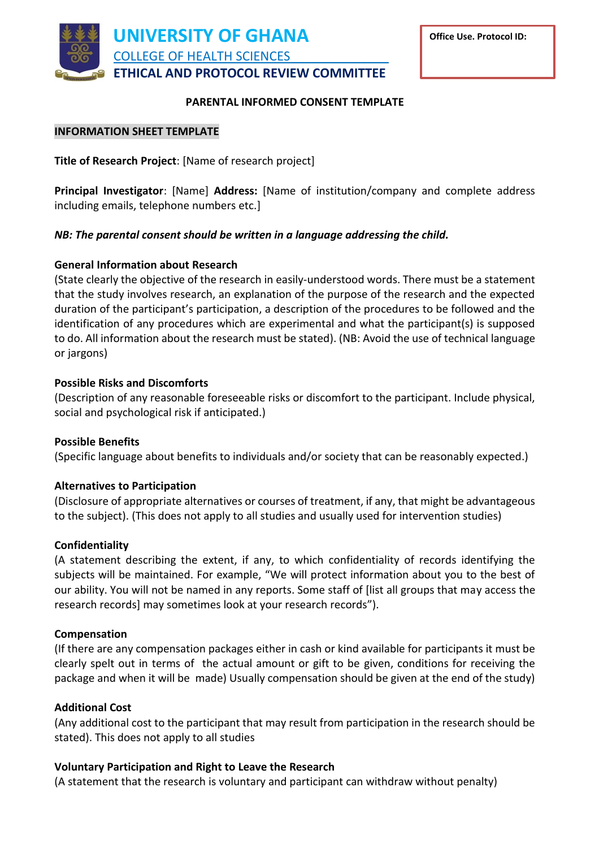

### **PARENTAL INFORMED CONSENT TEMPLATE**

**Office Use. Protocol ID:**

### **INFORMATION SHEET TEMPLATE**

**Title of Research Project**: [Name of research project]

**Principal Investigator**: [Name] **Address:** [Name of institution/company and complete address including emails, telephone numbers etc.]

# *NB: The parental consent should be written in a language addressing the child.*

# **General Information about Research**

(State clearly the objective of the research in easily-understood words. There must be a statement that the study involves research, an explanation of the purpose of the research and the expected duration of the participant's participation, a description of the procedures to be followed and the identification of any procedures which are experimental and what the participant(s) is supposed to do. All information about the research must be stated). (NB: Avoid the use of technical language or jargons)

# **Possible Risks and Discomforts**

(Description of any reasonable foreseeable risks or discomfort to the participant. Include physical, social and psychological risk if anticipated.)

#### **Possible Benefits**

(Specific language about benefits to individuals and/or society that can be reasonably expected.)

#### **Alternatives to Participation**

(Disclosure of appropriate alternatives or courses of treatment, if any, that might be advantageous to the subject). (This does not apply to all studies and usually used for intervention studies)

#### **Confidentiality**

(A statement describing the extent, if any, to which confidentiality of records identifying the subjects will be maintained. For example, "We will protect information about you to the best of our ability. You will not be named in any reports. Some staff of [list all groups that may access the research records] may sometimes look at your research records").

#### **Compensation**

(If there are any compensation packages either in cash or kind available for participants it must be clearly spelt out in terms of the actual amount or gift to be given, conditions for receiving the package and when it will be made) Usually compensation should be given at the end of the study)

#### **Additional Cost**

(Any additional cost to the participant that may result from participation in the research should be stated). This does not apply to all studies

#### **Voluntary Participation and Right to Leave the Research**

(A statement that the research is voluntary and participant can withdraw without penalty)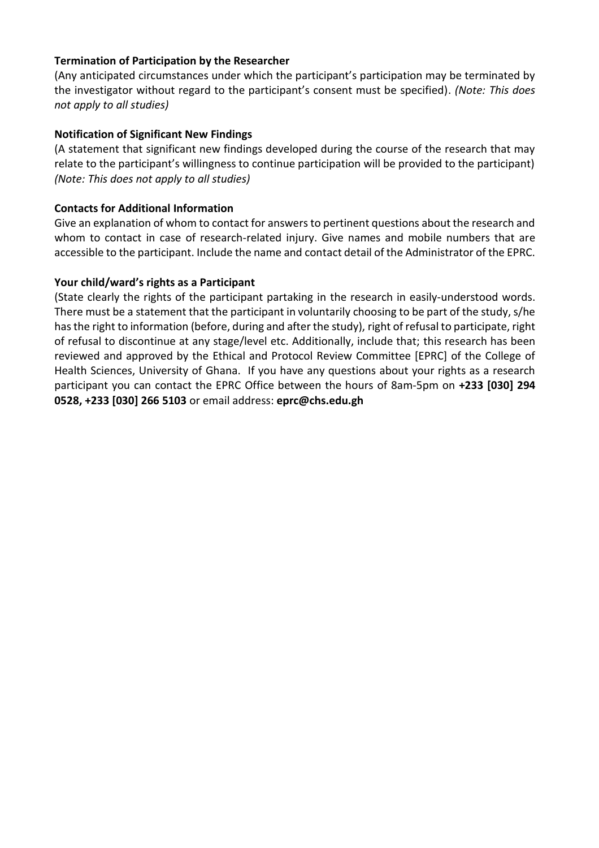# **Termination of Participation by the Researcher**

(Any anticipated circumstances under which the participant's participation may be terminated by the investigator without regard to the participant's consent must be specified). *(Note: This does not apply to all studies)*

# **Notification of Significant New Findings**

(A statement that significant new findings developed during the course of the research that may relate to the participant's willingness to continue participation will be provided to the participant) *(Note: This does not apply to all studies)*

#### **Contacts for Additional Information**

Give an explanation of whom to contact for answers to pertinent questions about the research and whom to contact in case of research-related injury. Give names and mobile numbers that are accessible to the participant. Include the name and contact detail of the Administrator of the EPRC.

# **Your child/ward's rights as a Participant**

(State clearly the rights of the participant partaking in the research in easily-understood words. There must be a statement that the participant in voluntarily choosing to be part of the study, s/he has the right to information (before, during and after the study), right of refusal to participate, right of refusal to discontinue at any stage/level etc. Additionally, include that; this research has been reviewed and approved by the Ethical and Protocol Review Committee [EPRC] of the College of Health Sciences, University of Ghana. If you have any questions about your rights as a research participant you can contact the EPRC Office between the hours of 8am-5pm on **+233 [030] 294 0528, +233 [030] 266 5103** or email address: **eprc@chs.edu.gh**